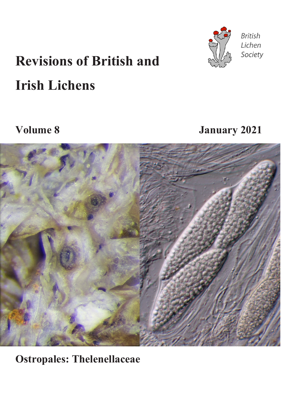

**British** Lichen Society

# **Revisions of British and Irish Lichens**

**Volume 8 January 2021**



**Ostropales: Thelenellaceae**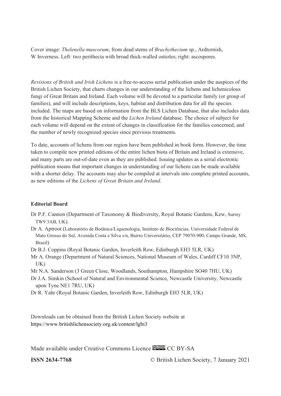Cover image: *Thelenella muscorum*, from dead stems of *Brachythecium* sp., Ardtornish, W Inverness. Left: two perithecia with broad thick-walled ostioles; right: ascospores.

*Revisions of British and Irish Lichens* is a free-to-access serial publication under the auspices of the British Lichen Society, that charts changes in our understanding of the lichens and lichenicolous fungi of Great Britain and Ireland. Each volume will be devoted to a particular family (or group of families), and will include descriptions, keys, habitat and distribution data for all the species included. The maps are based on information from the BLS Lichen Database, that also includes data from the historical Mapping Scheme and the *Lichen Ireland* database. The choice of subject for each volume will depend on the extent of changes in classification for the families concerned, and the number of newly recognized species since previous treatments.

To date, accounts of lichens from our region have been published in book form. However, the time taken to compile new printed editions of the entire lichen biota of Britain and Ireland is extensive, and many parts are out-of-date even as they are published. Issuing updates as a serial electronic publication means that important changes in understanding of our lichens can be made available with a shorter delay. The accounts may also be compiled at intervals into complete printed accounts, as new editions of the *Lichens of Great Britain and Ireland*.

#### **Editorial Board**

- Dr P.F. Cannon (Department of Taxonomy & Biodiversity, Royal Botanic Gardens, Kew, Surrey TW9 3AB, UK).
- Dr A. Aptroot (Laboratório de Botânica/Liquenologia, Instituto de Biociências, Universidade Federal de Mato Grosso do Sul, Avenida Costa e Silva s/n, Bairro Universitário, CEP 79070-900, Campo Grande, MS, Brazil)
- Dr B.J. Coppins (Royal Botanic Garden, Inverleith Row, Edinburgh EH3 5LR, UK)
- Mr A. Orange (Department of Natural Sciences, National Museum of Wales, Cardiff CF10 3NP, UK)
- Mr N.A. Sanderson (3 Green Close, Woodlands, Southampton, Hampshire SO40 7HU, UK)
- Dr J.A. Simkin (School of Natural and Environmental Science, Newcastle University, Newcastle upon Tyne NE1 7RU, UK)
- Dr R. Yahr (Royal Botanic Garden, Inverleith Row, Edinburgh EH3 5LR, UK)

Downloads can be obtained from the British Lichen Society website at https://www.britishlichensociety.org.uk/content/lgbi3

Made available under Creative Commons Licence **CC** BY-SA

**ISSN 2634-7768** © British Lichen Society, 7 January 2021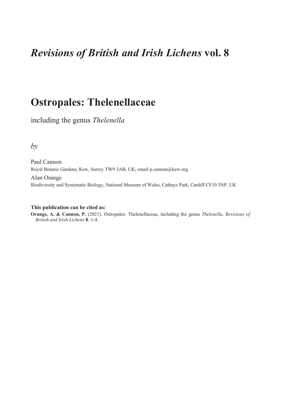## *Revisions of British and Irish Lichens* **vol. 8**

## **Ostropales: Thelenellaceae**

including the genus *Thelenella*

*by*

Paul Cannon Royal Botanic Gardens, Kew, Surrey TW9 3AB, UK; email p.cannon@kew.org

Alan Orange Biodiversity and Systematic Biology, National Museum of Wales, Cathays Park, Cardiff CF10 3NP, UK

#### **This publication can be cited as:**

**Orange, A. & Cannon, P.** (2021). Ostropales: Thelenellaceae, including the genus *Thelenella*. *Revisions of British and Irish Lichens* **8**: 1-4.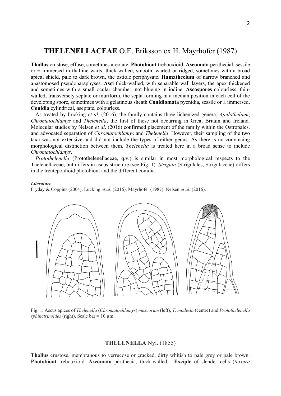### **THELENELLACEAE** O.E. Eriksson ex H. Mayrhofer (1987)

**Thallus** crustose, effuse, sometimes areolate. **Photobiont** trebouxioid. **Ascomata** perithecial, sessile or  $\pm$  immersed in thalline warts, thick-walled, smooth, warted or ridged, sometimes with a broad apical shield, pale to dark brown, the ostiole periphysate. **Hamathecium** of narrow branched and anastomosed pseudoparaphyses. **Asci** thick-walled, with separable wall layers, the apex thickened and sometimes with a small ocular chamber, not blueing in iodine. **Ascospores** colourless, thinwalled, transversely septate or muriform, the septa forming in a median position in each cell of the developing spore, sometimes with a gelatinous sheath.**Conidiomata** pycnidia, sessile or  $\pm$  immersed. **Conidia** cylindrical, aseptate, colourless.

As treated by Lücking *et al.* (2016), the family contains three lichenized genera, *Apidothelium*, *Chromatochlamys* and *Thelenella*, the first of these not occurring in Great Britain and Ireland. Molecular studies by Nelsen *et al*. (2016) confirmed placement of the family within the Ostropales, and advocated separation of *Chromatochlamys* and *Thelenella*. However, their sampling of the two taxa was not extensive and did not include the types of either genus. As there is no convincing morphological distinction between them, *Thelenella* is treated here in a broad sense to include *Chromatochlamys*.

*Protothelenella* (Protothelenellaceae, q.v.) is similar in most morphological respects to the Thelenellaceae, but differs in ascus structure (see Fig. 1). *Strigula* (Strigulales, Strigulaceae) differs in the trentepohlioid photobiont and the different conidia.

#### *Literature*

Fryday & Coppins (2004), Lücking *et al*. (2016), Mayrhofer (1987), Nelsen *et al*. (2016).



Fig. 1. Ascus apices of *Thelenella* (*Chromatochlamys*) *muscorum* (left), *T. modesta* (centre) and *Protothelenella sphinctrinoides* (right). Scale bar = 10 µm.

#### **THELENELLA** Nyl. (1855)

**Thallus** crustose, membranous to verrucose or cracked, dirty whitish to pale grey or pale brown. **Photobiont** trebouxioid. **Ascomata** perithecia, thick-walled. **Exciple** of slender cells (*textura*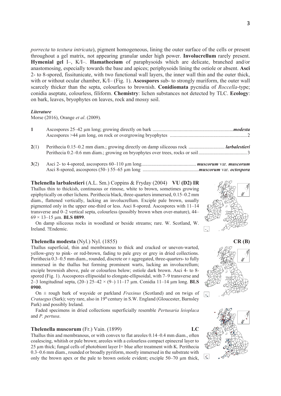*porrecta* to *textura intricata*), pigment homogeneous, lining the outer surface of the cells or present throughout a gel matrix, not appearing granular under high power. **Involucrellum** rarely present. **Hymenial gel** I–, K/I–. **Hamathecium** of paraphysoids which are delicate, branched and/or anastomosing, especially towards the base and apices; periphysoids lining the ostiole or absent. **Asci**  2- to 8-spored, fissitunicate, with two functional wall layers, the inner wall thin and the outer thick, with or without ocular chamber, K/I– (Fig. 1). **Ascospores** sub- to strongly muriform, the outer wall scarcely thicker than the septa, colourless to brownish. **Conidiomata** pycnidia of *Roccella*-type; conidia aseptate, colourless, filiform. **Chemistry**: lichen substances not detected by TLC. **Ecology**: on bark, leaves, bryophytes on leaves, rock and mossy soil.

#### *Literature*

Morse (2016), Orange *et al*. (2009).

| 2(1) | Perithecia 0.15–0.2 mm diam.; growing directly on damp siliceous rock <i>larbalestieri</i> |  |
|------|--------------------------------------------------------------------------------------------|--|

**3**(2) Asci 2- to 4-spored, ascospores 60–110 µm long............................................ *muscorum* var. *muscorum* Asci 8-spored, ascospores (50–) 55–65 µm long .............................................*muscorum* var. *octospora*

**Thelenella larbalestieri** (A.L. Sm.) Coppins & Fryday (2004) **VU (D2) IR** Thallus thin to thickish, continuous or rimose, white to brown, sometimes growing epiphytically on other lichens. Perithecia black, three-quarters immersed, 0.15–0.2 mm diam., flattened vertically, lacking an involucrellum. Exciple pale brown, usually pigmented only in the upper one-third or less. Asci 8-spored. Ascospores with 11–14 transverse and 0–2 vertical septa, colourless (possibly brown when over-mature), 44– 69 × 13–15 µm. **BLS 0899**.

On damp siliceous rocks in woodland or beside streams; rare. W. Scotland, W. Ireland. ?Endemic.

#### **Thelenella modesta** (Nyl.) Nyl. (1855) **CR (B)**

Thallus superficial, thin and membranous to thick and cracked or uneven-warted, yellow-grey to pink- or red-brown, fading to pale grey or grey in dried collections. Perithecia  $0.3-0.5$  mm diam., rounded, discrete or  $\pm$  aggregated, three-quarters- to fully immersed in the thallus but forming prominent warts, lacking an involucrellum; exciple brownish above, pale or colourless below; ostiole dark brown. Asci 4- to 8 spored (Fig. 1). Ascospores ellipsoidal to elongate-ellipsoidal, with 7–9 transverse and 2–3 longitudinal septa, (20–) 25–42 × (9–) 11–17 µm. Conidia 11–14 µm long. **BLS 0900**.

On ± rough bark of wayside or parkland *Fraxinus* (Scotland) and on twigs of *Crataegus* (Sark); very rare, also in 19<sup>th</sup> century in S.W. England (Gloucester, Barnsley Park) and possibly Ireland.

Faded specimens in dried collections superficially resemble *Pertusaria leioplaca*  and *P. pertusa*.

#### **Thelenella muscorum** (Fr.) Vain. (1899) **LC**

Thallus thin and membranous, or with convex to flat areoles 0.14–0.4 mm diam., often coalescing, whitish or pale brown; areoles with a colourless compact epinecral layer to 25 µm thick; fungal cells of photobiont layer I+ blue after treatment with K. Perithecia 0.3–0.6 mm diam., rounded or broadly pyriform, mostly immersed in the substrate with only the brown apex or the pale to brown ostiole evident; exciple 50–70 µm thick,